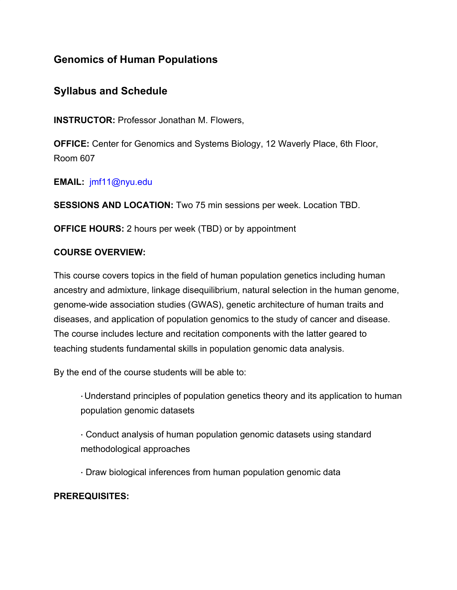# **Genomics of Human Populations**

# **Syllabus and Schedule**

**INSTRUCTOR:** Professor Jonathan M. Flowers,

**OFFICE:** Center for Genomics and Systems Biology, 12 Waverly Place, 6th Floor, Room 607

**EMAIL:** jmf11@nyu.edu

**SESSIONS AND LOCATION:** Two 75 min sessions per week. Location TBD.

**OFFICE HOURS:** 2 hours per week (TBD) or by appointment

# **COURSE OVERVIEW:**

This course covers topics in the field of human population genetics including human ancestry and admixture, linkage disequilibrium, natural selection in the human genome, genome-wide association studies (GWAS), genetic architecture of human traits and diseases, and application of population genomics to the study of cancer and disease. The course includes lecture and recitation components with the latter geared to teaching students fundamental skills in population genomic data analysis.

By the end of the course students will be able to:

· Understand principles of population genetics theory and its application to human population genomic datasets

· Conduct analysis of human population genomic datasets using standard methodological approaches

· Draw biological inferences from human population genomic data

# **PREREQUISITES:**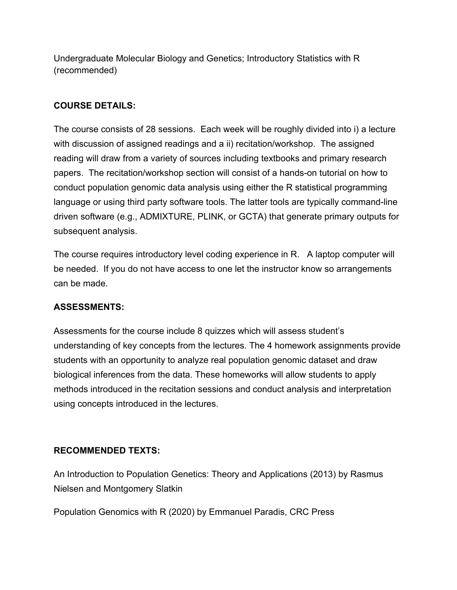Undergraduate Molecular Biology and Genetics; Introductory Statistics with R (recommended)

# **COURSE DETAILS:**

The course consists of 28 sessions. Each week will be roughly divided into i) a lecture with discussion of assigned readings and a ii) recitation/workshop. The assigned reading will draw from a variety of sources including textbooks and primary research papers. The recitation/workshop section will consist of a hands-on tutorial on how to conduct population genomic data analysis using either the R statistical programming language or using third party software tools. The latter tools are typically command-line driven software (e.g., ADMIXTURE, PLINK, or GCTA) that generate primary outputs for subsequent analysis.

The course requires introductory level coding experience in R. A laptop computer will be needed. If you do not have access to one let the instructor know so arrangements can be made.

# **ASSESSMENTS:**

Assessments for the course include 8 quizzes which will assess student's understanding of key concepts from the lectures. The 4 homework assignments provide students with an opportunity to analyze real population genomic dataset and draw biological inferences from the data. These homeworks will allow students to apply methods introduced in the recitation sessions and conduct analysis and interpretation using concepts introduced in the lectures.

# **RECOMMENDED TEXTS:**

An Introduction to Population Genetics: Theory and Applications (2013) by Rasmus Nielsen and Montgomery Slatkin

Population Genomics with R (2020) by Emmanuel Paradis, CRC Press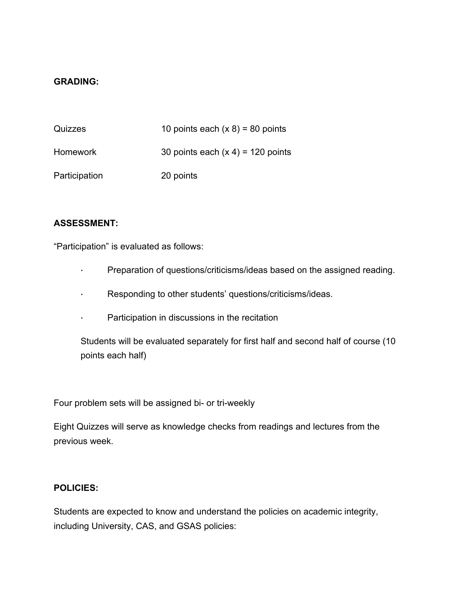#### **GRADING:**

| Quizzes         | 10 points each $(x 8) = 80$ points  |
|-----------------|-------------------------------------|
| <b>Homework</b> | 30 points each $(x 4) = 120$ points |
| Participation   | 20 points                           |

#### **ASSESSMENT:**

"Participation" is evaluated as follows:

- · Preparation of questions/criticisms/ideas based on the assigned reading.
- · Responding to other students' questions/criticisms/ideas.
- · Participation in discussions in the recitation

Students will be evaluated separately for first half and second half of course (10 points each half)

Four problem sets will be assigned bi- or tri-weekly

Eight Quizzes will serve as knowledge checks from readings and lectures from the previous week.

#### **POLICIES:**

Students are expected to know and understand the policies on academic integrity, including University, CAS, and GSAS policies: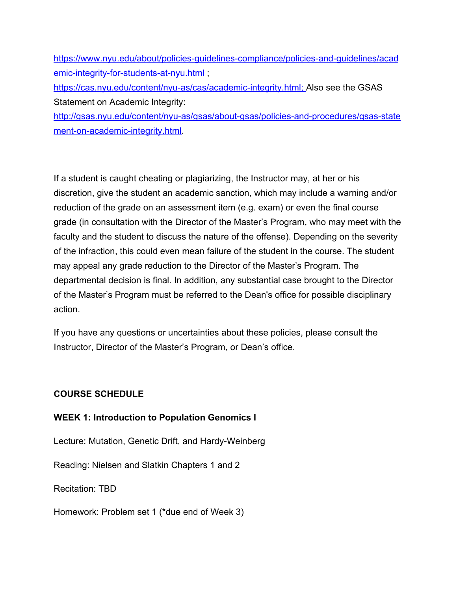https://www.nyu.edu/about/policies-guidelines-compliance/policies-and-guidelines/acad emic-integrity-for-students-at-nyu.html; https://cas.nyu.edu/content/nyu-as/cas/academic-integrity.html; Also see the GSAS Statement on Academic Integrity: http://gsas.nyu.edu/content/nyu-as/gsas/about-gsas/policies-and-procedures/gsas-state

ment-on-academic-integrity.html.

If a student is caught cheating or plagiarizing, the Instructor may, at her or his discretion, give the student an academic sanction, which may include a warning and/or reduction of the grade on an assessment item (e.g. exam) or even the final course grade (in consultation with the Director of the Master's Program, who may meet with the faculty and the student to discuss the nature of the offense). Depending on the severity of the infraction, this could even mean failure of the student in the course. The student may appeal any grade reduction to the Director of the Master's Program. The departmental decision is final. In addition, any substantial case brought to the Director of the Master's Program must be referred to the Dean's office for possible disciplinary action.

If you have any questions or uncertainties about these policies, please consult the Instructor, Director of the Master's Program, or Dean's office.

# **COURSE SCHEDULE**

# **WEEK 1: Introduction to Population Genomics I**

Lecture: Mutation, Genetic Drift, and Hardy-Weinberg

Reading: Nielsen and Slatkin Chapters 1 and 2

Recitation: TBD

Homework: Problem set 1 (\*due end of Week 3)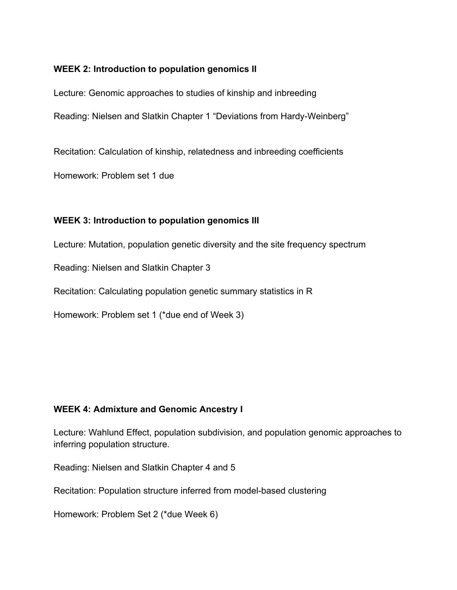# **WEEK 2: Introduction to population genomics II**

Lecture: Genomic approaches to studies of kinship and inbreeding Reading: Nielsen and Slatkin Chapter 1 "Deviations from Hardy-Weinberg"

Recitation: Calculation of kinship, relatedness and inbreeding coefficients

Homework: Problem set 1 due

# **WEEK 3: Introduction to population genomics III**

Lecture: Mutation, population genetic diversity and the site frequency spectrum

Reading: Nielsen and Slatkin Chapter 3

Recitation: Calculating population genetic summary statistics in R

Homework: Problem set 1 (\*due end of Week 3)

# **WEEK 4: Admixture and Genomic Ancestry I**

Lecture: Wahlund Effect, population subdivision, and population genomic approaches to inferring population structure.

Reading: Nielsen and Slatkin Chapter 4 and 5

Recitation: Population structure inferred from model-based clustering

Homework: Problem Set 2 (\*due Week 6)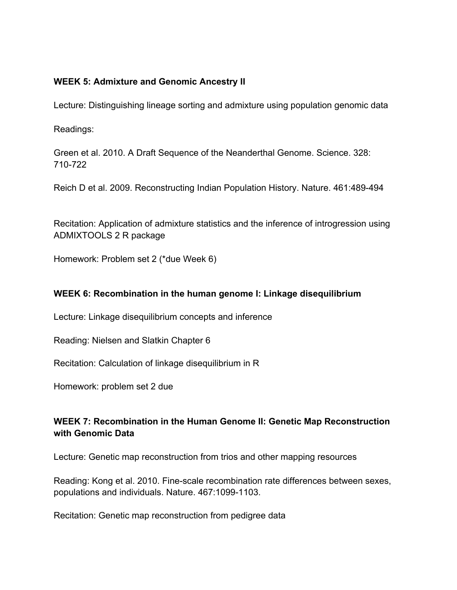#### **WEEK 5: Admixture and Genomic Ancestry II**

Lecture: Distinguishing lineage sorting and admixture using population genomic data

Readings:

Green et al. 2010. A Draft Sequence of the Neanderthal Genome. Science. 328: 710-722

Reich D et al. 2009. Reconstructing Indian Population History. Nature. 461:489-494

Recitation: Application of admixture statistics and the inference of introgression using ADMIXTOOLS 2 R package

Homework: Problem set 2 (\*due Week 6)

#### **WEEK 6: Recombination in the human genome I: Linkage disequilibrium**

Lecture: Linkage disequilibrium concepts and inference

Reading: Nielsen and Slatkin Chapter 6

Recitation: Calculation of linkage disequilibrium in R

Homework: problem set 2 due

# **WEEK 7: Recombination in the Human Genome II: Genetic Map Reconstruction with Genomic Data**

Lecture: Genetic map reconstruction from trios and other mapping resources

Reading: Kong et al. 2010. Fine-scale recombination rate differences between sexes, populations and individuals. Nature. 467:1099-1103.

Recitation: Genetic map reconstruction from pedigree data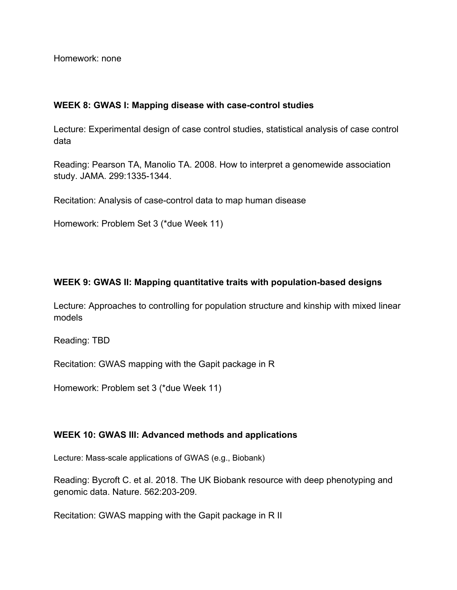Homework: none

#### **WEEK 8: GWAS I: Mapping disease with case-control studies**

Lecture: Experimental design of case control studies, statistical analysis of case control data

Reading: Pearson TA, Manolio TA. 2008. How to interpret a genomewide association study. JAMA. 299:1335-1344.

Recitation: Analysis of case-control data to map human disease

Homework: Problem Set 3 (\*due Week 11)

# **WEEK 9: GWAS II: Mapping quantitative traits with population-based designs**

Lecture: Approaches to controlling for population structure and kinship with mixed linear models

Reading: TBD

Recitation: GWAS mapping with the Gapit package in R

Homework: Problem set 3 (\*due Week 11)

# **WEEK 10: GWAS III: Advanced methods and applications**

Lecture: Mass-scale applications of GWAS (e.g., Biobank)

Reading: Bycroft C. et al. 2018. The UK Biobank resource with deep phenotyping and genomic data. Nature. 562:203-209.

Recitation: GWAS mapping with the Gapit package in R II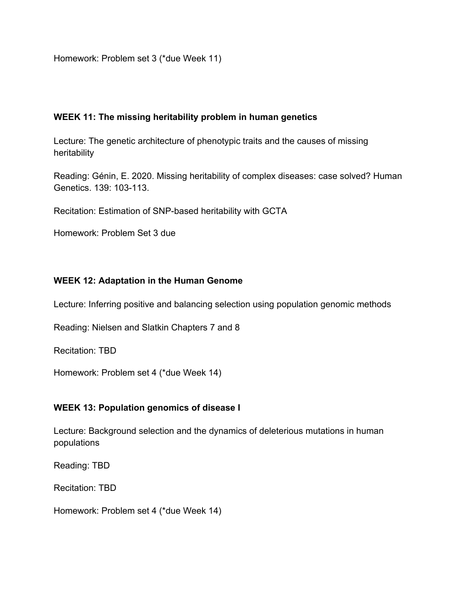Homework: Problem set 3 (\*due Week 11)

#### **WEEK 11: The missing heritability problem in human genetics**

Lecture: The genetic architecture of phenotypic traits and the causes of missing heritability

Reading: Génin, E. 2020. Missing heritability of complex diseases: case solved? Human Genetics. 139: 103-113.

Recitation: Estimation of SNP-based heritability with GCTA

Homework: Problem Set 3 due

#### **WEEK 12: Adaptation in the Human Genome**

Lecture: Inferring positive and balancing selection using population genomic methods

Reading: Nielsen and Slatkin Chapters 7 and 8

Recitation: TBD

Homework: Problem set 4 (\*due Week 14)

# **WEEK 13: Population genomics of disease I**

Lecture: Background selection and the dynamics of deleterious mutations in human populations

Reading: TBD

Recitation: TBD

Homework: Problem set 4 (\*due Week 14)